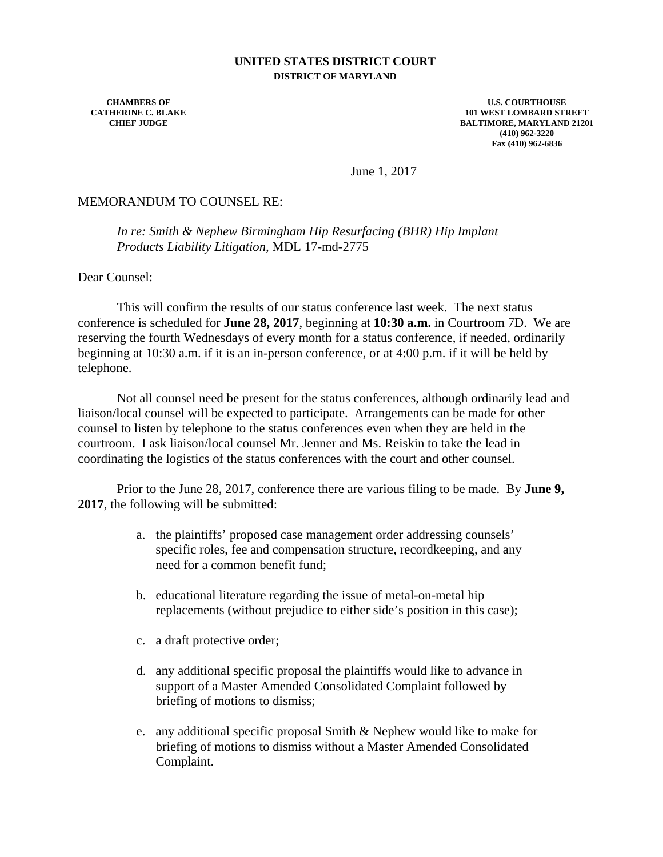## **UNITED STATES DISTRICT COURT DISTRICT OF MARYLAND**

**CHAMBERS OF CATHERINE C. BLAKE CHIEF JUDGE**

**U.S. COURTHOUSE 101 WEST LOMBARD STREET BALTIMORE, MARYLAND 21201 (410) 962-3220 Fax (410) 962-6836**

June 1, 2017

## MEMORANDUM TO COUNSEL RE:

*In re: Smith & Nephew Birmingham Hip Resurfacing (BHR) Hip Implant Products Liability Litigation,* MDL 17-md-2775

Dear Counsel:

 This will confirm the results of our status conference last week. The next status conference is scheduled for **June 28, 2017**, beginning at **10:30 a.m.** in Courtroom 7D. We are reserving the fourth Wednesdays of every month for a status conference, if needed, ordinarily beginning at 10:30 a.m. if it is an in-person conference, or at 4:00 p.m. if it will be held by telephone.

 Not all counsel need be present for the status conferences, although ordinarily lead and liaison/local counsel will be expected to participate. Arrangements can be made for other counsel to listen by telephone to the status conferences even when they are held in the courtroom. I ask liaison/local counsel Mr. Jenner and Ms. Reiskin to take the lead in coordinating the logistics of the status conferences with the court and other counsel.

 Prior to the June 28, 2017, conference there are various filing to be made. By **June 9, 2017**, the following will be submitted:

- a. the plaintiffs' proposed case management order addressing counsels' specific roles, fee and compensation structure, recordkeeping, and any need for a common benefit fund;
- b. educational literature regarding the issue of metal-on-metal hip replacements (without prejudice to either side's position in this case);
- c. a draft protective order;
- d. any additional specific proposal the plaintiffs would like to advance in support of a Master Amended Consolidated Complaint followed by briefing of motions to dismiss;
- e. any additional specific proposal Smith & Nephew would like to make for briefing of motions to dismiss without a Master Amended Consolidated Complaint.